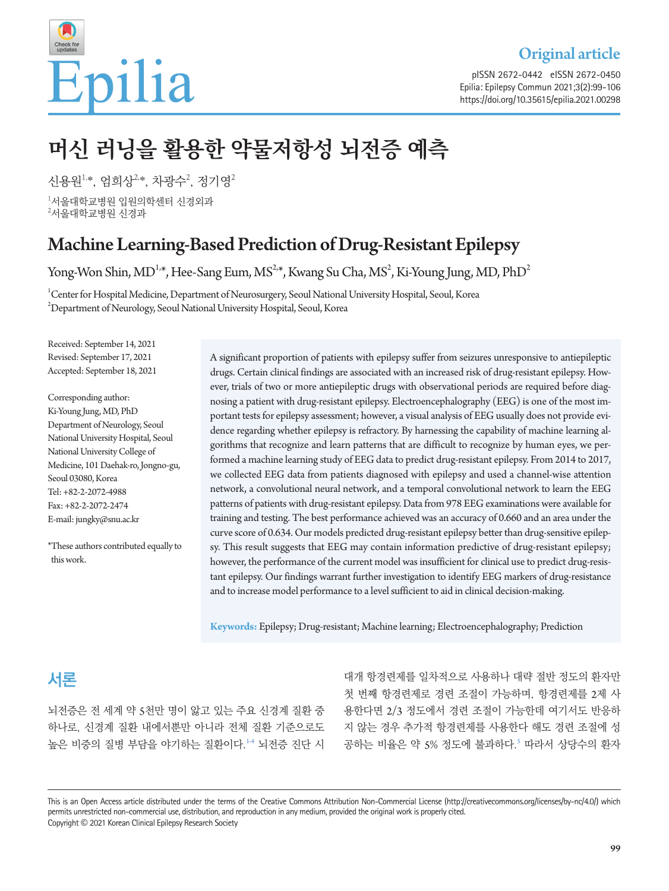

Original article

pISSN 2672-0442 eISSN 2672-0450 Epilia: Epilepsy Commun 2021;3(2):99-106 https://doi.org/10.35615/epilia.2021.00298

# **머신 러닝을 활용한 약물저항성 뇌전증 예측**

신용원 $^{1,*}$ , 엄희상 $^{2,*}$ , 차광수 $^{2}$ , 정기영 $^{2}$  $^{\rm l}$ 서울대학교병원 입원의학센터 신경외과  $^{2}$ 서울대학교병원 신경과

## Machine Learning-Based Prediction of Drug-Resistant Epilepsy

Yong-Won Shin, MD<sup>1,\*</sup>, Hee-Sang Eum, MS<sup>2,\*</sup>, Kwang Su Cha, MS<sup>2</sup>, Ki-Young Jung, MD, PhD<sup>2</sup>

 $^1$ Center for Hospital Medicine, Department of Neurosurgery, Seoul National University Hospital, Seoul, Korea  $^{2}$ Department of Neurology, Seoul National University Hospital, Seoul, Korea

Received: September 14, 2021 Revised: September 17, 2021 Accepted: September 18, 2021

Corresponding author: Ki-Young Jung, MD, PhD Department of Neurology, Seoul National University Hospital, Seoul National University College of Medicine, 101 Daehak-ro, Jongno-gu, Seoul 03080, Korea Tel: +82-2-2072-4988 Fax: +82-2-2072-2474 E-mail: jungky@snu.ac.kr

\*These authors contributed equally to this work.

A significant proportion of patients with epilepsy suffer from seizures unresponsive to antiepileptic drugs. Certain clinical findings are associated with an increased risk of drug-resistant epilepsy. However, trials of two or more antiepileptic drugs with observational periods are required before diagnosing a patient with drug-resistant epilepsy. Electroencephalography (EEG) is one of the most important tests for epilepsy assessment; however, a visual analysis of EEG usually does not provide evidence regarding whether epilepsy is refractory. By harnessing the capability of machine learning algorithms that recognize and learn patterns that are difficult to recognize by human eyes, we performed a machine learning study of EEG data to predict drug-resistant epilepsy. From 2014 to 2017, we collected EEG data from patients diagnosed with epilepsy and used a channel-wise attention network, a convolutional neural network, and a temporal convolutional network to learn the EEG patterns of patients with drug-resistant epilepsy. Data from 978 EEG examinations were available for training and testing. The best performance achieved was an accuracy of 0.660 and an area under the curve score of 0.634. Our models predicted drug-resistant epilepsy better than drug-sensitive epilepsy. This result suggests that EEG may contain information predictive of drug-resistant epilepsy; however, the performance of the current model was insufficient for clinical use to predict drug-resistant epilepsy. Our findings warrant further investigation to identify EEG markers of drug-resistance and to increase model performance to a level sufficient to aid in clinical decision-making.

**Keywords:** Epilepsy; Drug-resistant; Machine learning; Electroencephalography; Prediction

## **서론**

뇌전증은 전 세계 약 5천만 명이 앓고 있는 주요 신경계 질환 중 하나로, 신경계 질환 내에서뿐만 아니라 전체 질환 기준으로도 높은 비중의 질병 부담을 야기하는 질환이다.[1](#page-7-0)4 뇌전증 진단 시

대개 항경련제를 일차적으로 사용하나 대략 절반 정도의 환자만 첫 번째 항경련제로 경련 조절이 가능하며, 항경련제를 2제 사 용한다면 2/3 정도에서 경련 조절이 가능한데 여기서도 반응하 지 않는 경우 추가적 항경련제를 사용한다 해도 경련 조절에 성 공하는 비율은 약 [5](#page-7-2)% 정도에 불과하다.<sup>5</sup> 따라서 상당수의 환자

This is an Open Access article distributed under the terms of the Creative Commons Attribution Non-Commercial License (http://creativecommons.org/licenses/by-nc/4.0/) which permits unrestricted non-commercial use, distribution, and reproduction in any medium, provided the original work is properly cited. Copyright © 2021 Korean Clinical Epilepsy Research Society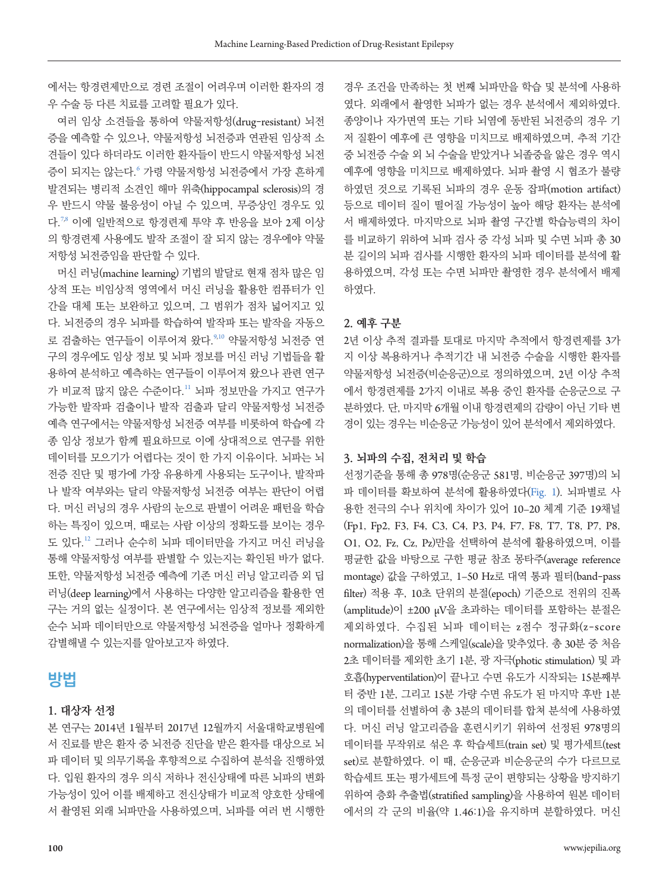에서는 항경련제만으로 경련 조절이 어려우며 이러한 환자의 경 우 수술 등 다른 치료를 고려할 필요가 있다.

여러 임상 소견들을 통하여 약물저항성(drug-resistant) 뇌전 증을 예측할 수 있으나, 약물저항성 뇌전증과 연관된 임상적 소 견들이 있다 하더라도 이러한 환자들이 반드시 약물저항성 뇌전 증이 되지는 않는다.<sup>[6](#page-7-3)</sup> 가령 약물저항성 뇌전증에서 가장 흔하게 발견되는 병리적 소견인 해마 위축(hippocampal sclerosis)의 경 우 반드시 약물 불응성이 아닐 수 있으며, 무증상인 경우도 있 다.<sup>[7](#page-7-4)[,8](#page-7-5)</sup> 이에 일반적으로 항경련제 투약 후 반응을 보아 2제 이상 의 항경련제 사용에도 발작 조절이 잘 되지 않는 경우에야 약물 저항성 뇌전증임을 판단할 수 있다.

머신 러닝(machine learning) 기법의 발달로 현재 점차 많은 임 상적 또는 비임상적 영역에서 머신 러닝을 활용한 컴퓨터가 인 간을 대체 또는 보완하고 있으며, 그 범위가 점차 넓어지고 있 다. 뇌전증의 경우 뇌파를 학습하여 발작파 또는 발작을 자동으 로 검출하는 연구들이 이루어져 왔다. [9](#page-7-6)[,10](#page-7-7) 약물저항성 뇌전증 연 구의 경우에도 임상 정보 및 뇌파 정보를 머신 러닝 기법들을 활 용하여 분석하고 예측하는 연구들이 이루어져 왔으나 관련 연구 가 비교적 많지 않은 수준이다.[11](#page-7-8) 뇌파 정보만을 가지고 연구가 가능한 발작파 검출이나 발작 검출과 달리 약물저항성 뇌전증 예측 연구에서는 약물저항성 뇌전증 여부를 비롯하여 학습에 각 종 임상 정보가 함께 필요하므로 이에 상대적으로 연구를 위한 데이터를 모으기가 어렵다는 것이 한 가지 이유이다. 뇌파는 뇌 전증 진단 및 평가에 가장 유용하게 사용되는 도구이나, 발작파 나 발작 여부와는 달리 약물저항성 뇌전증 여부는 판단이 어렵 다. 머신 러닝의 경우 사람의 눈으로 판별이 어려운 패턴을 학습 하는 특징이 있으며, 때로는 사람 이상의 정확도를 보이는 경우 도 있다.[12](#page-7-9) 그러나 순수히 뇌파 데이터만을 가지고 머신 러닝을 통해 약물저항성 여부를 판별할 수 있는지는 확인된 바가 없다. 또한, 약물저항성 뇌전증 예측에 기존 머신 러닝 알고리즘 외 딥 러닝(deep learning)에서 사용하는 다양한 알고리즘을 활용한 연 구는 거의 없는 실정이다. 본 연구에서는 임상적 정보를 제외한 순수 뇌파 데이터만으로 약물저항성 뇌전증을 얼마나 정확하게 감별해낼 수 있는지를 알아보고자 하였다.

## **방법**

#### **1. 대상자 선정**

본 연구는 2014년 1월부터 2017년 12월까지 서울대학교병원에 서 진료를 받은 환자 중 뇌전증 진단을 받은 환자를 대상으로 뇌 파 데이터 및 의무기록을 후향적으로 수집하여 분석을 진행하였 다. 입원 환자의 경우 의식 저하나 전신상태에 따른 뇌파의 변화 가능성이 있어 이를 배제하고 전신상태가 비교적 양호한 상태에 서 촬영된 외래 뇌파만을 사용하였으며, 뇌파를 여러 번 시행한

경우 조건을 만족하는 첫 번째 뇌파만을 학습 및 분석에 사용하 였다. 외래에서 촬영한 뇌파가 없는 경우 분석에서 제외하였다. 종양이나 자가면역 또는 기타 뇌염에 동반된 뇌전증의 경우 기 저 질환이 예후에 큰 영향을 미치므로 배제하였으며, 추적 기간 중 뇌전증 수술 외 뇌 수술을 받았거나 뇌졸중을 앓은 경우 역시 예후에 영향을 미치므로 배제하였다. 뇌파 촬영 시 협조가 불량 하였던 것으로 기록된 뇌파의 경우 운동 잡파(motion artifact) 등으로 데이터 질이 떨어질 가능성이 높아 해당 환자는 분석에 서 배제하였다. 마지막으로 뇌파 촬영 구간별 학습능력의 차이 를 비교하기 위하여 뇌파 검사 중 각성 뇌파 및 수면 뇌파 총 30 분 길이의 뇌파 검사를 시행한 환자의 뇌파 데이터를 분석에 활 용하였으며, 각성 또는 수면 뇌파만 촬영한 경우 분석에서 배제 하였다.

#### **2. 예후 구분**

2년 이상 추적 결과를 토대로 마지막 추적에서 항경련제를 3가 지 이상 복용하거나 추적기간 내 뇌전증 수술을 시행한 환자를 약물저항성 뇌전증(비순응군)으로 정의하였으며, 2년 이상 추적 에서 항경련제를 2가지 이내로 복용 중인 환자를 순응군으로 구 분하였다. 단, 마지막 6개월 이내 항경련제의 감량이 아닌 기타 변 경이 있는 경우는 비순응군 가능성이 있어 분석에서 제외하였다.

#### **3. 뇌파의 수집, 전처리 및 학습**

선정기준을 통해 총 978명(순응군 581명, 비순응군 397명)의 뇌 파 데이터를 확보하여 분석에 활용하였다([Fig](#page-2-0). 1). 뇌파별로 사 용한 전극의 수나 위치에 차이가 있어 10–20 체계 기준 19채널 (Fp1, Fp2, F3, F4, C3, C4, P3, P4, F7, F8, T7, T8, P7, P8, O1, O2, Fz, Cz, Pz)만을 선택하여 분석에 활용하였으며, 이를 평균한 값을 바탕으로 구한 평균 참조 몽타주(average reference montage) 값을 구하였고, 1–50 Hz로 대역 통과 필터(band-pass filter) 적용 후, 10초 단위의 분절(epoch) 기준으로 전위의 진폭 (amplitude)이 ±200 μV을 초과하는 데이터를 포함하는 분절은 제외하였다. 수집된 뇌파 데이터는 z점수 정규화(z-score normalization)을 통해 스케일(scale)을 맞추었다. 총 30분 중 처음 2초 데이터를 제외한 초기 1분, 광 자극(photic stimulation) 및 과 호흡(hyperventilation)이 끝나고 수면 유도가 시작되는 15분째부 터 중반 1분, 그리고 15분 가량 수면 유도가 된 마지막 후반 1분 의 데이터를 선별하여 총 3분의 데이터를 합쳐 분석에 사용하였 다. 머신 러닝 알고리즘을 훈련시키기 위하여 선정된 978명의 데이터를 무작위로 섞은 후 학습세트(train set) 및 평가세트(test set)로 분할하였다. 이 때, 순응군과 비순응군의 수가 다르므로 학습세트 또는 평가세트에 특정 군이 편향되는 상황을 방지하기 위하여 층화 추출법(stratified sampling)을 사용하여 원본 데이터 에서의 각 군의 비율(약 1.46:1)을 유지하며 분할하였다. 머신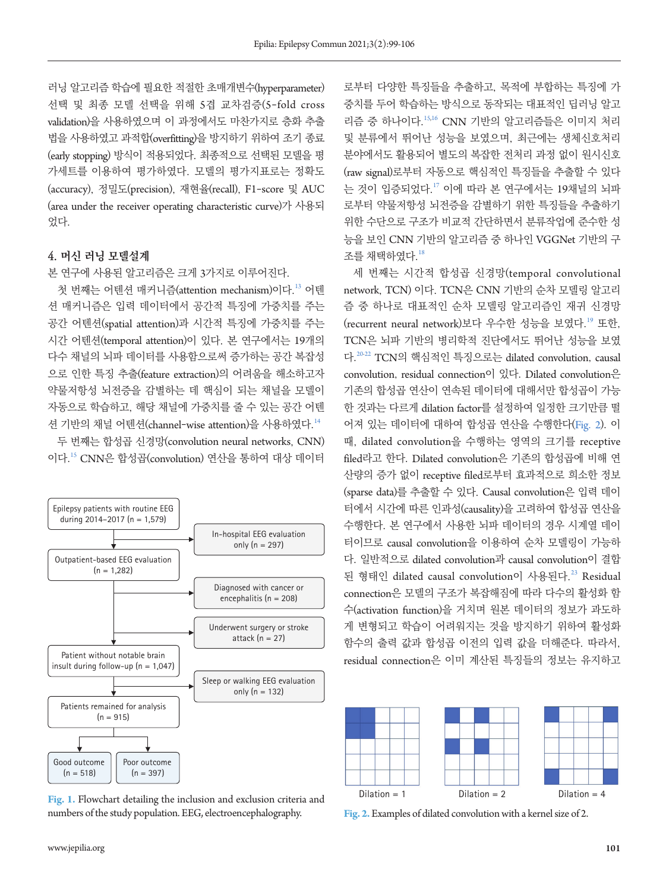러닝 알고리즘 학습에 필요한 적절한 초매개변수(hyperparameter) 선택 및 최종 모델 선택을 위해 5겹 교차검증(5-fold cross validation)을 사용하였으며 이 과정에서도 마찬가지로 층화 추출 법을 사용하였고 과적합(overfitting)을 방지하기 위하여 조기 종료 (early stopping) 방식이 적용되었다. 최종적으로 선택된 모델을 평 가세트를 이용하여 평가하였다. 모델의 평가지표로는 정확도 (accuracy), 정밀도(precision), 재현율(recall), F1-score 및 AUC (area under the receiver operating characteristic curve)가 사용되 었다.

#### **4. 머신 러닝 모델설계**

#### 본 연구에 사용된 알고리즘은 크게 3가지로 이루어진다.

첫 번째는 어텐션 매커니즘(attention mechanism)이다.<sup>[13](#page-7-10)</sup> 어텐 션 매커니즘은 입력 데이터에서 공간적 특징에 가중치를 주는 공간 어텐션(spatial attention)과 시간적 특징에 가중치를 주는 시간 어텐션(temporal attention)이 있다. 본 연구에서는 19개의 다수 채널의 뇌파 데이터를 사용함으로써 증가하는 공간 복잡성 으로 인한 특징 추출(feature extraction)의 어려움을 해소하고자 약물저항성 뇌전증을 감별하는 데 핵심이 되는 채널을 모델이 자동으로 학습하고, 해당 채널에 가중치를 줄 수 있는 공간 어텐 션 기반의 채널 어텐션(channel-wise attention)을 사용하였다.[14](#page-7-11)

두 번째는 합성곱 신경망(convolution neural networks, CNN) 이다.[15](#page-7-10) CNN은 합성곱(convolution) 연산을 통하여 대상 데이터

<span id="page-2-0"></span>

**Fig. 1.** Flowchart detailing the inclusion and exclusion criteria and numbers of the study population. EEG, electroencephalography. **Fig. 2.** Examples of dilated convolution with a kernel size of 2.

로부터 다양한 특징들을 추출하고, 목적에 부합하는 특징에 가 중치를 두어 학습하는 방식으로 동작되는 대표적인 딥러닝 알고 리즘 중 하나이다.[15](#page-7-10)[,16](#page-7-12) CNN 기반의 알고리즘들은 이미지 처리 및 분류에서 뛰어난 성능을 보였으며, 최근에는 생체신호처리 분야에서도 활용되어 별도의 복잡한 전처리 과정 없이 원시신호 (raw signal)로부터 자동으로 핵심적인 특징들을 추출할 수 있다 는 것이 입증되었다.[17](#page-7-13) 이에 따라 본 연구에서는 19채널의 뇌파 로부터 약물저항성 뇌전증을 감별하기 위한 특징들을 추출하기 위한 수단으로 구조가 비교적 간단하면서 분류작업에 준수한 성 능을 보인 CNN 기반의 알고리즘 중 하나인 VGGNet 기반의 구 조를 채택하였다.[18](#page-7-14)

세 번째는 시간적 합성곱 신경망(temporal convolutional network, TCN) 이다. TCN은 CNN 기반의 순차 모델링 알고리 즘 중 하나로 대표적인 순차 모델링 알고리즘인 재귀 신경망 (recurrent neural network)보다 우수한 성능을 보였다.<sup>[19](#page-7-15)</sup> 또한, TCN은 뇌파 기반의 병리학적 진단에서도 뛰어난 성능을 보였 다.[20](#page-7-16)[-22](#page-7-17) TCN의 핵심적인 특징으로는 dilated convolution, causal convolution, residual connection이 있다. Dilated convolution은 기존의 합성곱 연산이 연속된 데이터에 대해서만 합성곱이 가능 한 것과는 다르게 dilation factor를 설정하여 일정한 크기만큼 떨 어져 있는 데이터에 대하여 합성곱 연산을 수행한다([Fig](#page-2-1). 2). 이 때, dilated convolution을 수행하는 영역의 크기를 receptive filed라고 한다. Dilated convolution은 기존의 합성곱에 비해 연 산량의 증가 없이 receptive filed로부터 효과적으로 희소한 정보 (sparse data)를 추출할 수 있다. Causal convolution은 입력 데이 터에서 시간에 따른 인과성(causality)을 고려하여 합성곱 연산을 수행한다. 본 연구에서 사용한 뇌파 데이터의 경우 시계열 데이 터이므로 causal convolution을 이용하여 순차 모델링이 가능하 다. 일반적으로 dilated convolution과 causal convolution이 결합 된 형태인 dilated causal convolution이 사용된다.<sup>[23](#page-7-18)</sup> Residual connection은 모델의 구조가 복잡해짐에 따라 다수의 활성화 함 수(activation function)을 거치며 원본 데이터의 정보가 과도하 게 변형되고 학습이 어려워지는 것을 방지하기 위하여 활성화 함수의 출력 값과 합성곱 이전의 입력 값을 더해준다. 따라서, residual connection은 이미 계산된 특징들의 정보는 유지하고

<span id="page-2-1"></span>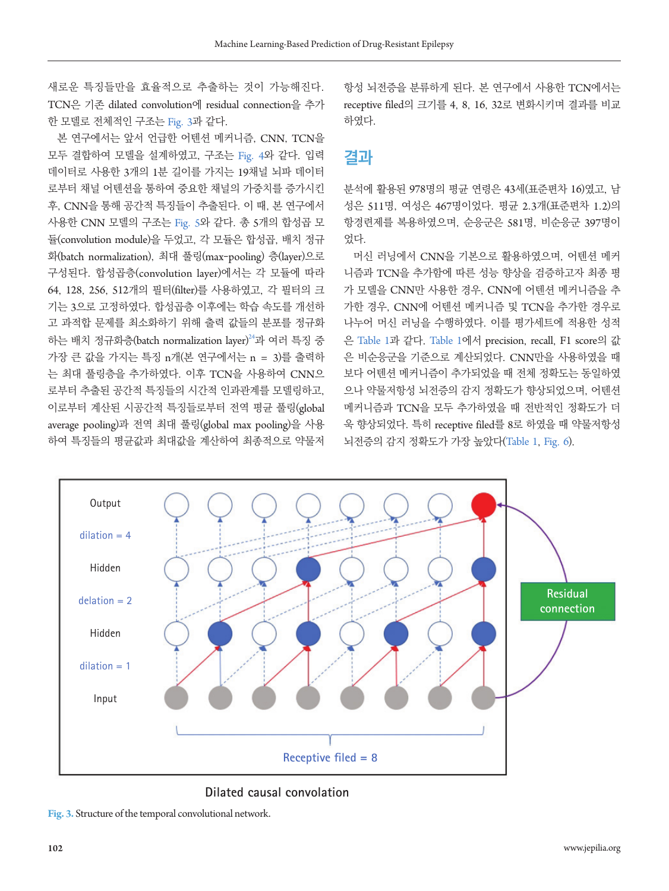새로운 특징들만을 효율적으로 추출하는 것이 가능해진다. TCN은 기존 dilated convolution에 residual connection을 추가 한 모델로 전체적인 구조는 [Fig](#page-3-0). 3과 같다.

본 연구에서는 앞서 언급한 어텐션 메커니즘, CNN, TCN을 모두 결합하여 모델을 설계하였고, 구조는 [Fig](#page-4-0). 4와 같다. 입력 데이터로 사용한 3개의 1분 길이를 가지는 19채널 뇌파 데이터 로부터 채널 어텐션을 통하여 중요한 채널의 가중치를 증가시킨 후, CNN을 통해 공간적 특징들이 추출된다. 이 때, 본 연구에서 사용한 CNN 모델의 구조는 Fig. [5](#page-4-1)와 같다. 총 5개의 합성곱 모 듈(convolution module)을 두었고, 각 모듈은 합성곱, 배치 정규 화(batch normalization), 최대 풀링(max-pooling) 층(layer)으로 구성된다. 합성곱층(convolution layer)에서는 각 모듈에 따라 64, 128, 256, 512개의 필터(filter)를 사용하였고, 각 필터의 크 기는 3으로 고정하였다. 합성곱층 이후에는 학습 속도를 개선하 고 과적합 문제를 최소화하기 위해 출력 값들의 분포를 정규화 하는 배치 정규화층(batch normalization layer) [24](#page-7-19)과 여러 특징 중 가장 큰 값을 가지는 특징 n개(본 연구에서는 n = 3)를 출력하 는 최대 풀링층을 추가하였다. 이후 TCN을 사용하여 CNN으 로부터 추출된 공간적 특징들의 시간적 인과관계를 모델링하고, 이로부터 계산된 시공간적 특징들로부터 전역 평균 풀링(global average pooling)과 전역 최대 풀링(global max pooling)을 사용 하여 특징들의 평균값과 최대값을 계산하여 최종적으로 약물저

항성 뇌전증을 분류하게 된다. 본 연구에서 사용한 TCN에서는 receptive filed의 크기를 4, 8, 16, 32로 변화시키며 결과를 비교 하였다.

## **결과**

분석에 활용된 978명의 평균 연령은 43세(표준편차 16)였고, 남 성은 511명, 여성은 467명이었다. 평균 2.3개(표준편차 1.2)의 항경련제를 복용하였으며, 순응군은 581명, 비순응군 397명이 었다.

머신 러닝에서 CNN을 기본으로 활용하였으며, 어텐션 메커 니즘과 TCN을 추가함에 따른 성능 향상을 검증하고자 최종 평 가 모델을 CNN만 사용한 경우, CNN에 어텐션 메커니즘을 추 가한 경우, CNN에 어텐션 메커니즘 및 TCN을 추가한 경우로 나누어 머신 러닝을 수행하였다. 이를 평가세트에 적용한 성적 은 Table 1[과 같다.](#page-5-0) Table 1에서 precision, recall, F1 score의 값 은 비순응군을 기준으로 계산되었다. CNN만을 사용하였을 때 보다 어텐션 메커니즘이 추가되었을 때 전체 정확도는 동일하였 으나 약물저항성 뇌전증의 감지 정확도가 향상되었으며, 어텐션 메커니즘과 TCN을 모두 추가하였을 때 전반적인 정확도가 더 욱 향상되었다. 특히 receptive filed를 8로 하였을 때 약물저항성 뇌전증의 감지 정확도가 가장 높았다([Table](#page-5-0) 1, [Fig](#page-5-1). 6).

<span id="page-3-0"></span>

**Dilated causal convolation**

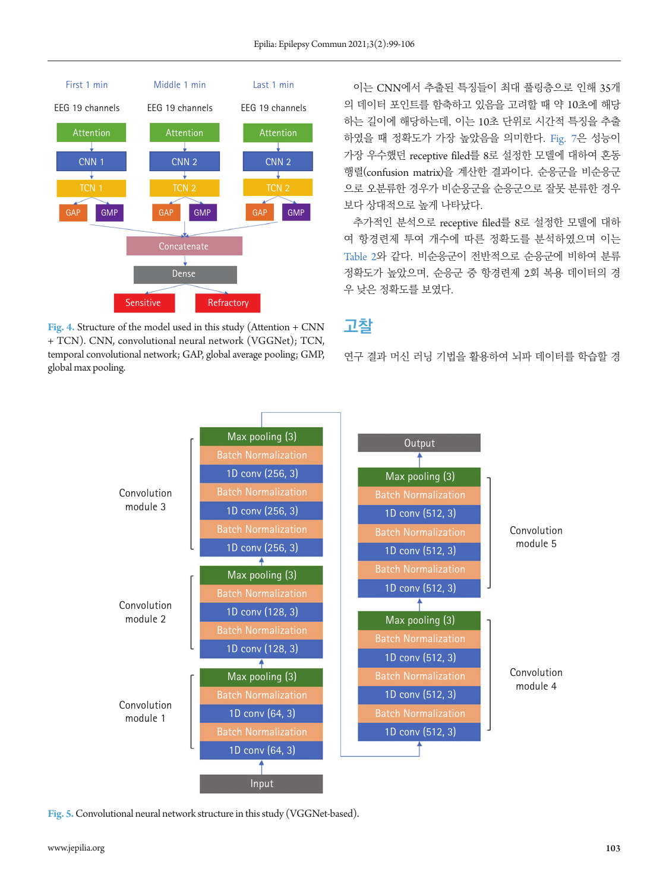<span id="page-4-0"></span>

**Fig. 4.** Structure of the model used in this study (Attention + CNN + TCN). CNN, convolutional neural network (VGGNet); TCN, temporal convolutional network; GAP, global average pooling; GMP, global max pooling.

이는 CNN에서 추출된 특징들이 최대 풀링층으로 인해 35개 의 데이터 포인트를 함축하고 있음을 고려할 때 약 10초에 해당 하는 길이에 해당하는데, 이는 10초 단위로 시간적 특징을 추출 하였을 때 정확도가 가장 높았음을 의미한다. [Fig](#page-5-2). 7은 성능이 가장 우수했던 receptive filed를 8로 설정한 모델에 대하여 혼동 행렬(confusion matrix)을 계산한 결과이다. 순응군을 비순응군 으로 오분류한 경우가 비순응군을 순응군으로 잘못 분류한 경우 보다 상대적으로 높게 나타났다.

추가적인 분석으로 receptive filed를 8로 설정한 모델에 대하 여 항경련제 투여 개수에 따른 정확도를 분석하였으며 이는 [Table](#page-5-3) 2와 같다. 비순응군이 전반적으로 순응군에 비하여 분류 정확도가 높았으며, 순응군 중 항경련제 2회 복용 데이터의 경 우 낮은 정확도를 보였다.

### **고찰**

연구 결과 머신 러닝 기법을 활용하여 뇌파 데이터를 학습할 경

<span id="page-4-1"></span>

**Fig. 5.** Convolutional neural network structure in this study (VGGNet-based).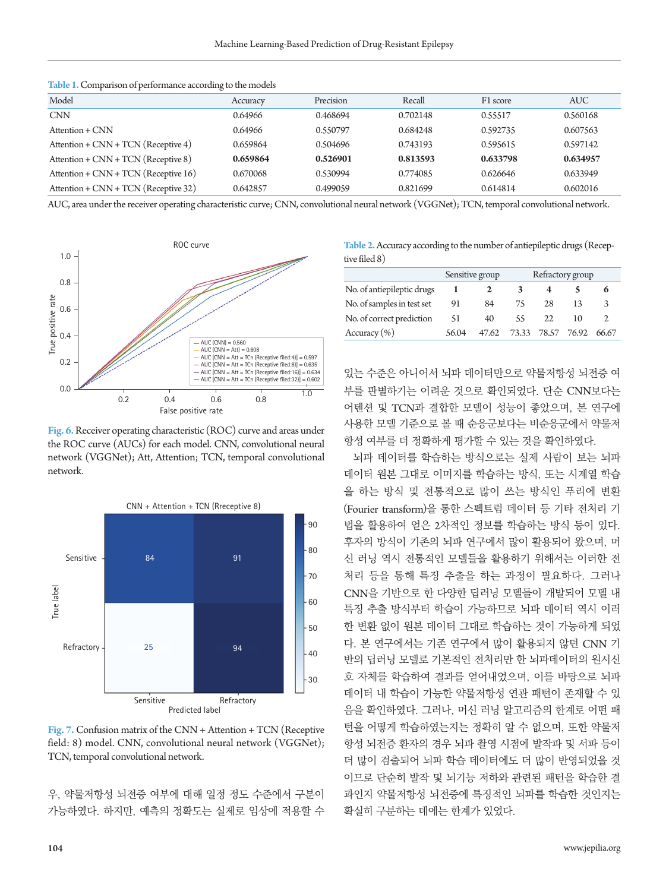| Model                                  | Accuracy | Precision | Recall   | F1 score | <b>AUC</b> |
|----------------------------------------|----------|-----------|----------|----------|------------|
| <b>CNN</b>                             | 0.64966  | 0.468694  | 0.702148 | 0.55517  | 0.560168   |
| Attention + CNN                        | 0.64966  | 0.550797  | 0.684248 | 0.592735 | 0.607563   |
| Attention + $CNN + TCN$ (Receptive 4)  | 0.659864 | 0.504696  | 0.743193 | 0.595615 | 0.597142   |
| Attention + CNN + TCN (Receptive 8)    | 0.659864 | 0.526901  | 0.813593 | 0.633798 | 0.634957   |
| Attention + $CNN + TCN$ (Receptive 16) | 0.670068 | 0.530994  | 0.774085 | 0.626646 | 0.633949   |
| Attention + $CNN + TCN$ (Receptive 32) | 0.642857 | 0.499059  | 0.821699 | 0.614814 | 0.602016   |

<span id="page-5-0"></span>**Table 1.** Comparison of performance according to the models

AUC, area under the receiver operating characteristic curve; CNN, convolutional neural network (VGGNet); TCN, temporal convolutional network.

<span id="page-5-1"></span>

**Fig. 6.** Receiver operating characteristic (ROC) curve and areas under the ROC curve (AUCs) for each model. CNN, convolutional neural network (VGGNet); Att, Attention; TCN, temporal convolutional network.

<span id="page-5-2"></span>

**Fig. 7.** Confusion matrix of the CNN + Attention + TCN (Receptive field: 8) model. CNN, convolutional neural network (VGGNet); TCN, temporal convolutional network.

우, 약물저항성 뇌전증 여부에 대해 일정 정도 수준에서 구분이 가능하였다. 하지만, 예측의 정확도는 실제로 임상에 적용할 수

<span id="page-5-3"></span>**Table 2.** Accuracy according to the number of antiepileptic drugs (Receptive filed 8)

|                            |       | Sensitive group |             | Refractory group |       |       |
|----------------------------|-------|-----------------|-------------|------------------|-------|-------|
| No. of antiepileptic drugs |       |                 | 3           |                  |       |       |
| No. of samples in test set | 91    | 84              | 75          | 28               | 13    |       |
| No. of correct prediction  | 51    | 40              | 55          | 22               | 10    |       |
| Accuracy (%)               | 56.04 | 47.62           | 73.33 78.57 |                  | 76.92 | 66.67 |

있는 수준은 아니어서 뇌파 데이터만으로 약물저항성 뇌전증 여 부를 판별하기는 어려운 것으로 확인되었다. 단순 CNN보다는 어텐션 및 TCN과 결합한 모델이 성능이 좋았으며, 본 연구에 사용한 모델 기준으로 볼 때 순응군보다는 비순응군에서 약물저 항성 여부를 더 정확하게 평가할 수 있는 것을 확인하였다.

뇌파 데이터를 학습하는 방식으로는 실제 사람이 보는 뇌파 데이터 원본 그대로 이미지를 학습하는 방식, 또는 시계열 학습 을 하는 방식 및 전통적으로 많이 쓰는 방식인 푸리에 변환 (Fourier transform)을 통한 스펙트럼 데이터 등 기타 전처리 기 법을 활용하여 얻은 2차적인 정보를 학습하는 방식 등이 있다. 후자의 방식이 기존의 뇌파 연구에서 많이 활용되어 왔으며, 머 신 러닝 역시 전통적인 모델들을 활용하기 위해서는 이러한 전 처리 등을 통해 특징 추출을 하는 과정이 필요하다. 그러나 CNN을 기반으로 한 다양한 딥러닝 모델들이 개발되어 모델 내 특징 추출 방식부터 학습이 가능하므로 뇌파 데이터 역시 이러 한 변환 없이 원본 데이터 그대로 학습하는 것이 가능하게 되었 다. 본 연구에서는 기존 연구에서 많이 활용되지 않던 CNN 기 반의 딥러닝 모델로 기본적인 전처리만 한 뇌파데이터의 원시신 호 자체를 학습하여 결과를 얻어내었으며, 이를 바탕으로 뇌파 데이터 내 학습이 가능한 약물저항성 연관 패턴이 존재할 수 있 음을 확인하였다. 그러나, 머신 러닝 알고리즘의 한계로 어떤 패 턴을 어떻게 학습하였는지는 정확히 알 수 없으며, 또한 약물저 항성 뇌전증 환자의 경우 뇌파 촬영 시점에 발작파 및 서파 등이 더 많이 검출되어 뇌파 학습 데이터에도 더 많이 반영되었을 것 이므로 단순히 발작 및 뇌기능 저하와 관련된 패턴을 학습한 결 과인지 약물저항성 뇌전증에 특징적인 뇌파를 학습한 것인지는 확실히 구분하는 데에는 한계가 있었다.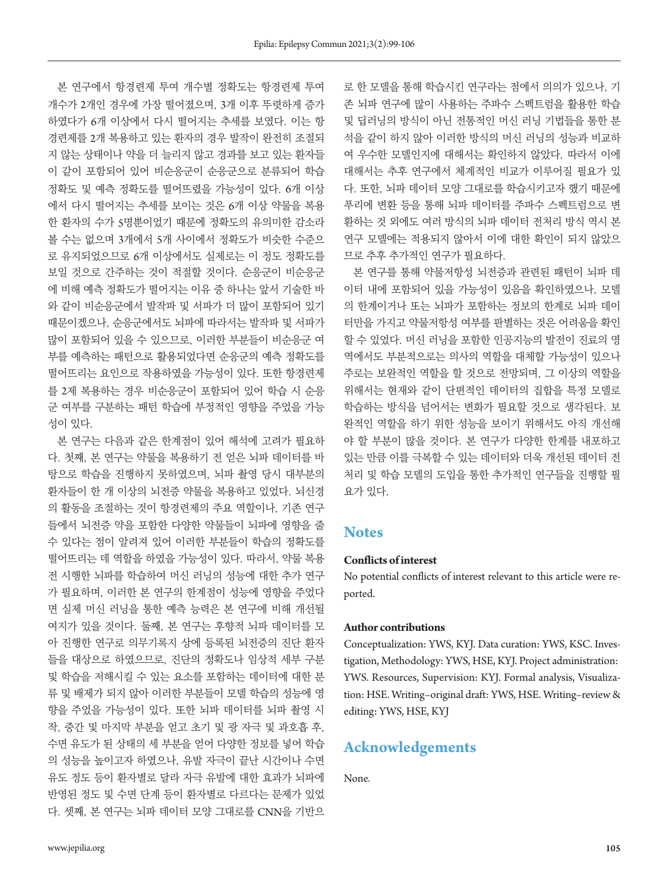본 연구에서 항경련제 투여 개수별 정확도는 항경련제 투여 개수가 2개인 경우에 가장 떨어졌으며, 3개 이후 뚜렷하게 증가 하였다가 6개 이상에서 다시 떨어지는 추세를 보였다. 이는 항 경련제를 2개 복용하고 있는 환자의 경우 발작이 완전히 조절되 지 않는 상태이나 약을 더 늘리지 않고 경과를 보고 있는 환자들 이 같이 포함되어 있어 비순응군이 순응군으로 분류되어 학습 정확도 및 예측 정확도를 떨어뜨렸을 가능성이 있다. 6개 이상 에서 다시 떨어지는 추세를 보이는 것은 6개 이상 약물을 복용 한 환자의 수가 5명뿐이었기 때문에 정확도의 유의미한 감소라 볼 수는 없으며 3개에서 5개 사이에서 정확도가 비슷한 수준으 로 유지되었으므로 6개 이상에서도 실제로는 이 정도 정확도를 보일 것으로 간주하는 것이 적절할 것이다. 순응군이 비순응군 에 비해 예측 정확도가 떨어지는 이유 중 하나는 앞서 기술한 바 와 같이 비순응군에서 발작파 및 서파가 더 많이 포함되어 있기 때문이겠으나, 순응군에서도 뇌파에 따라서는 발작파 및 서파가 많이 포함되어 있을 수 있으므로, 이러한 부분들이 비순응군 여 부를 예측하는 패턴으로 활용되었다면 순응군의 예측 정확도를 떨어뜨리는 요인으로 작용하였을 가능성이 있다. 또한 항경련제 를 2제 복용하는 경우 비순응군이 포함되어 있어 학습 시 순응 군 여부를 구분하는 패턴 학습에 부정적인 영향을 주었을 가능 성이 있다.

본 연구는 다음과 같은 한계점이 있어 해석에 고려가 필요하 다. 첫째, 본 연구는 약물을 복용하기 전 얻은 뇌파 데이터를 바 탕으로 학습을 진행하지 못하였으며, 뇌파 촬영 당시 대부분의 환자들이 한 개 이상의 뇌전증 약물을 복용하고 있었다. 뇌신경 의 활동을 조절하는 것이 항경련제의 주요 역할이나, 기존 연구 들에서 뇌전증 약을 포함한 다양한 약물들이 뇌파에 영향을 줄 수 있다는 점이 알려져 있어 이러한 부분들이 학습의 정확도를 떨어뜨리는 데 역할을 하였을 가능성이 있다. 따라서, 약물 복용 전 시행한 뇌파를 학습하여 머신 러닝의 성능에 대한 추가 연구 가 필요하며, 이러한 본 연구의 한계점이 성능에 영향을 주었다 면 실제 머신 러닝을 통한 예측 능력은 본 연구에 비해 개선될 여지가 있을 것이다. 둘째, 본 연구는 후향적 뇌파 데이터를 모 아 진행한 연구로 의무기록지 상에 등록된 뇌전증의 진단 환자 들을 대상으로 하였으므로, 진단의 정확도나 임상적 세부 구분 및 학습을 저해시킬 수 있는 요소를 포함하는 데이터에 대한 분 류 및 배제가 되지 않아 이러한 부분들이 모델 학습의 성능에 영 향을 주었을 가능성이 있다. 또한 뇌파 데이터를 뇌파 촬영 시 작, 중간 및 마지막 부분을 얻고 초기 및 광 자극 및 과호흡 후, 수면 유도가 된 상태의 세 부분을 얻어 다양한 정보를 넣어 학습 의 성능을 높이고자 하였으나, 유발 자극이 끝난 시간이나 수면 유도 정도 등이 환자별로 달라 자극 유발에 대한 효과가 뇌파에 반영된 정도 및 수면 단계 등이 환자별로 다르다는 문제가 있었 다. 셋째, 본 연구는 뇌파 데이터 모양 그대로를 CNN을 기반으 로 한 모델을 통해 학습시킨 연구라는 점에서 의의가 있으나, 기 존 뇌파 연구에 많이 사용하는 주파수 스펙트럼을 활용한 학습 및 딥러닝의 방식이 아닌 전통적인 머신 러닝 기법들을 통한 분 석을 같이 하지 않아 이러한 방식의 머신 러닝의 성능과 비교하 여 우수한 모델인지에 대해서는 확인하지 않았다. 따라서 이에 대해서는 추후 연구에서 체계적인 비교가 이루어질 필요가 있 다. 또한, 뇌파 데이터 모양 그대로를 학습시키고자 했기 때문에 푸리에 변환 등을 통해 뇌파 데이터를 주파수 스펙트럼으로 변 환하는 것 외에도 여러 방식의 뇌파 데이터 전처리 방식 역시 본 연구 모델에는 적용되지 않아서 이에 대한 확인이 되지 않았으 므로 추후 추가적인 연구가 필요하다.

본 연구를 통해 약물저항성 뇌전증과 관련된 패턴이 뇌파 데 이터 내에 포함되어 있을 가능성이 있음을 확인하였으나, 모델 의 한계이거나 또는 뇌파가 포함하는 정보의 한계로 뇌파 데이 터만을 가지고 약물저항성 여부를 판별하는 것은 어려움을 확인 할 수 있었다. 머신 러닝을 포함한 인공지능의 발전이 진료의 영 역에서도 부분적으로는 의사의 역할을 대체할 가능성이 있으나 주로는 보완적인 역할을 할 것으로 전망되며, 그 이상의 역할을 위해서는 현재와 같이 단편적인 데이터의 집합을 특정 모델로 학습하는 방식을 넘어서는 변화가 필요할 것으로 생각된다. 보 완적인 역할을 하기 위한 성능을 보이기 위해서도 아직 개선해 야 할 부분이 많을 것이다. 본 연구가 다양한 한계를 내포하고 있는 만큼 이를 극복할 수 있는 데이터와 더욱 개선된 데이터 전 처리 및 학습 모델의 도입을 통한 추가적인 연구들을 진행할 필 요가 있다.

#### **Notes**

#### **Conflicts of interest**

No potential conflicts of interest relevant to this article were reported.

#### **Author contributions**

Conceptualization: YWS, KYJ. Data curation: YWS, KSC. Investigation, Methodology: YWS, HSE, KYJ. Project administration: YWS. Resources, Supervision: KYJ. Formal analysis, Visualization: HSE. Writing–original draft: YWS, HSE. Writing–review & editing: YWS, HSE, KYJ

#### **Acknowledgements**

None.